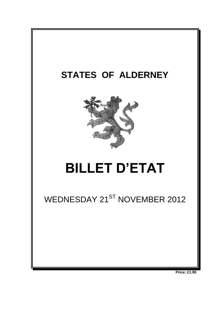

**Price: £1.90**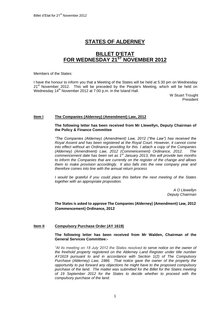# **STATES OF ALDERNEY**

# **BILLET D'ETAT FOR WEDNESDAY 21ST NOVEMBER 2012**

Members of the States:

I have the honour to inform you that a Meeting of the States will be held at 5:30 pm on Wednesday 21<sup>st</sup> November 2012. This will be preceded by the People's Meeting, which will be held on Wednesday 14<sup>th</sup> November 2012 at 7:00 p.m. in the Island Hall.

> W Stuart Trought President

#### **Item I The Companies (Alderney) (Amendment) Law, 2012**

#### **The following letter has been received from Mr Llewellyn, Deputy Chairman of the Policy & Finance Committee**

*"The Companies (Alderney) (Amendment) Law, 2012 ("the Law") has received the Royal Assent and has been registered at the Royal Court. However, it cannot come into effect without an Ordinance providing for this. I attach a copy of the Companies (Alderney) (Amendment) Law, 2012 (Commencement) Ordinance, 2012. The commencement date has been set as 1st January 2013, this will provide two months to inform the Companies that are currently on the register of the change and allows them to make provision accordingly. It also falls into the new company year and therefore comes into line with the annual return process*

*I would be grateful if you could place this before the next meeting of the States together with an appropriate proposition.*

> *A O Llewellyn Deputy Chairman*

## **The States is asked to approve The Companies (Alderney) (Amendment) Law, 2012 (Commencement) Ordinance, 2012**

## **Item II Compulsory Purchase Order (AY 1619)**

#### **The following letter has been received from Mr Walden, Chairman of the General Services Committee:-**

*"At its meeting on 18 July 2012 the States resolved to serve notice on the owner of the freehold property registered on the Alderney Land Register under title number AY1619 pursuant to and in accordance with Section 1(2) of The Compulsory Purchase (Alderney) Law, 1986. That notice gave the owner of the property the opportunity to put forward any objections he might have to the proposed compulsory purchase of the land. The matter was submitted for the Billet for the States meeting of 19 September 2012 for the States to decide whether to proceed with the compulsory purchase of the land.*